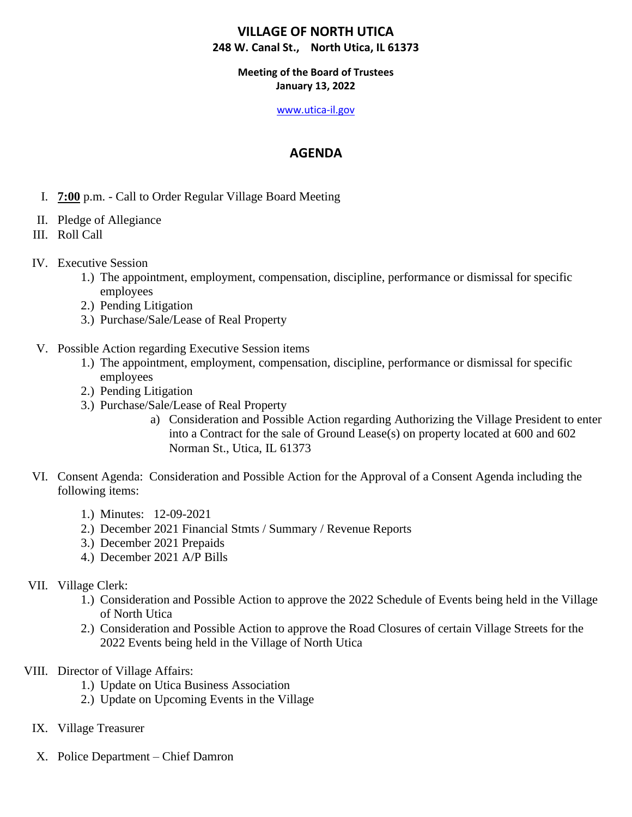## **Meeting of the Board of Trustees January 13, 2022**

#### [www.utica-il.gov](http://www.utica-il.gov/)

## **AGENDA**

- I. **7:00** p.m. Call to Order Regular Village Board Meeting
- II. Pledge of Allegiance
- III. Roll Call
- IV. Executive Session
	- 1.) The appointment, employment, compensation, discipline, performance or dismissal for specific employees
	- 2.) Pending Litigation
	- 3.) Purchase/Sale/Lease of Real Property
- V. Possible Action regarding Executive Session items
	- 1.) The appointment, employment, compensation, discipline, performance or dismissal for specific employees
	- 2.) Pending Litigation
	- 3.) Purchase/Sale/Lease of Real Property
		- a) Consideration and Possible Action regarding Authorizing the Village President to enter into a Contract for the sale of Ground Lease(s) on property located at 600 and 602 Norman St., Utica, IL 61373
- VI. Consent Agenda: Consideration and Possible Action for the Approval of a Consent Agenda including the following items:
	- 1.) Minutes: 12-09-2021
	- 2.) December 2021 Financial Stmts / Summary / Revenue Reports
	- 3.) December 2021 Prepaids
	- 4.) December 2021 A/P Bills

## VII. Village Clerk:

- 1.) Consideration and Possible Action to approve the 2022 Schedule of Events being held in the Village of North Utica
- 2.) Consideration and Possible Action to approve the Road Closures of certain Village Streets for the 2022 Events being held in the Village of North Utica
- VIII. Director of Village Affairs:
	- 1.) Update on Utica Business Association
	- 2.) Update on Upcoming Events in the Village
	- IX. Village Treasurer
	- X. Police Department Chief Damron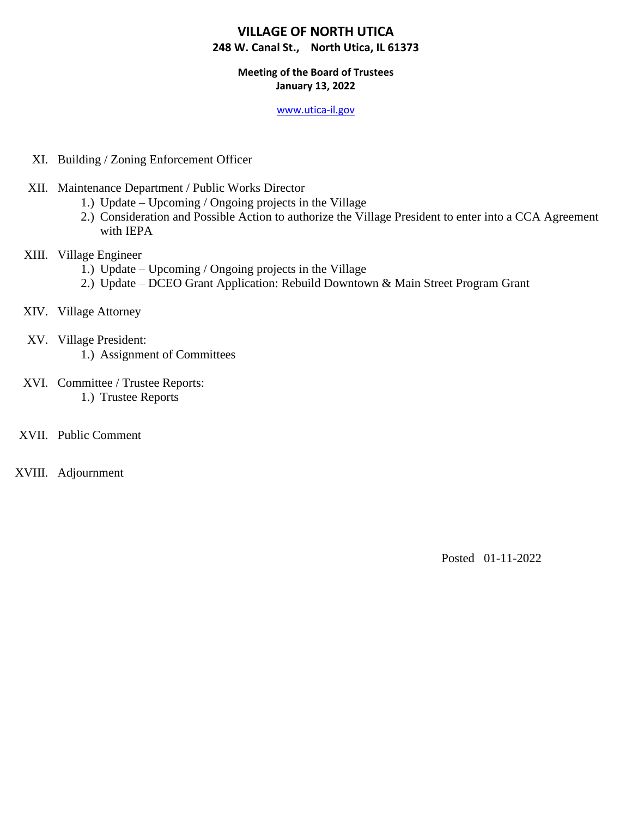## **Meeting of the Board of Trustees January 13, 2022**

#### [www.utica-il.gov](http://www.utica-il.gov/)

- XI. Building / Zoning Enforcement Officer
- XII. Maintenance Department / Public Works Director
	- 1.) Update Upcoming / Ongoing projects in the Village
	- 2.) Consideration and Possible Action to authorize the Village President to enter into a CCA Agreement with IEPA
- XIII. Village Engineer
	- 1.) Update Upcoming / Ongoing projects in the Village
	- 2.) Update DCEO Grant Application: Rebuild Downtown & Main Street Program Grant
- XIV. Village Attorney
- XV. Village President:
	- 1.) Assignment of Committees
- XVI. Committee / Trustee Reports: 1.) Trustee Reports
- XVII. Public Comment
- XVIII. Adjournment

Posted 01-11-2022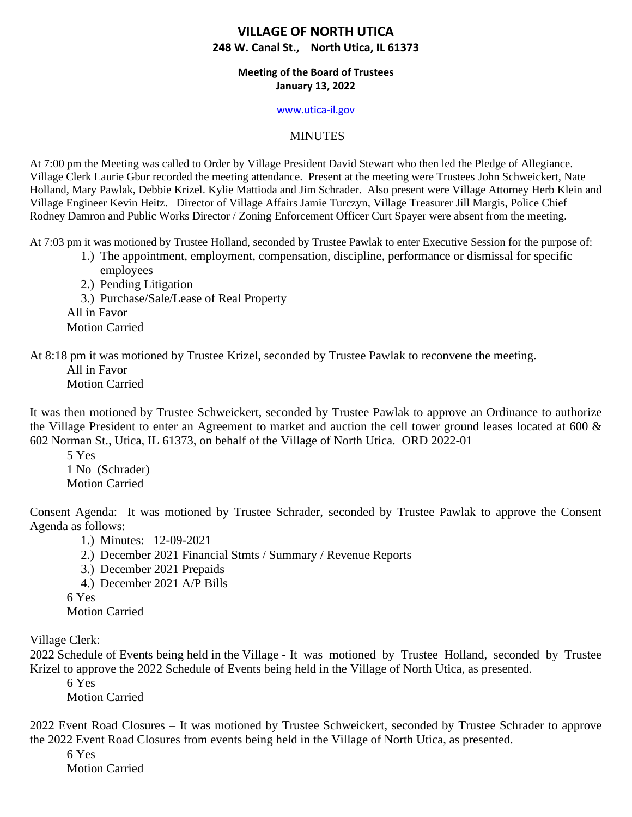### **Meeting of the Board of Trustees January 13, 2022**

#### [www.utica-il.gov](http://www.utica-il.gov/)

### MINUTES

At 7:00 pm the Meeting was called to Order by Village President David Stewart who then led the Pledge of Allegiance. Village Clerk Laurie Gbur recorded the meeting attendance. Present at the meeting were Trustees John Schweickert, Nate Holland, Mary Pawlak, Debbie Krizel. Kylie Mattioda and Jim Schrader. Also present were Village Attorney Herb Klein and Village Engineer Kevin Heitz. Director of Village Affairs Jamie Turczyn, Village Treasurer Jill Margis, Police Chief Rodney Damron and Public Works Director / Zoning Enforcement Officer Curt Spayer were absent from the meeting.

At 7:03 pm it was motioned by Trustee Holland, seconded by Trustee Pawlak to enter Executive Session for the purpose of:

1.) The appointment, employment, compensation, discipline, performance or dismissal for specific employees

2.) Pending Litigation 3.) Purchase/Sale/Lease of Real Property All in Favor Motion Carried

At 8:18 pm it was motioned by Trustee Krizel, seconded by Trustee Pawlak to reconvene the meeting. All in Favor

Motion Carried

It was then motioned by Trustee Schweickert, seconded by Trustee Pawlak to approve an Ordinance to authorize the Village President to enter an Agreement to market and auction the cell tower ground leases located at 600 & 602 Norman St., Utica, IL 61373, on behalf of the Village of North Utica. ORD 2022-01

5 Yes 1 No (Schrader) Motion Carried

Consent Agenda: It was motioned by Trustee Schrader, seconded by Trustee Pawlak to approve the Consent Agenda as follows:

1.) Minutes: 12-09-2021

- 2.) December 2021 Financial Stmts / Summary / Revenue Reports
- 3.) December 2021 Prepaids
- 4.) December 2021 A/P Bills
- 6 Yes

Motion Carried

Village Clerk:

2022 Schedule of Events being held in the Village - It was motioned by Trustee Holland, seconded by Trustee Krizel to approve the 2022 Schedule of Events being held in the Village of North Utica, as presented.

6 Yes

Motion Carried

2022 Event Road Closures – It was motioned by Trustee Schweickert, seconded by Trustee Schrader to approve the 2022 Event Road Closures from events being held in the Village of North Utica, as presented.

6 Yes

Motion Carried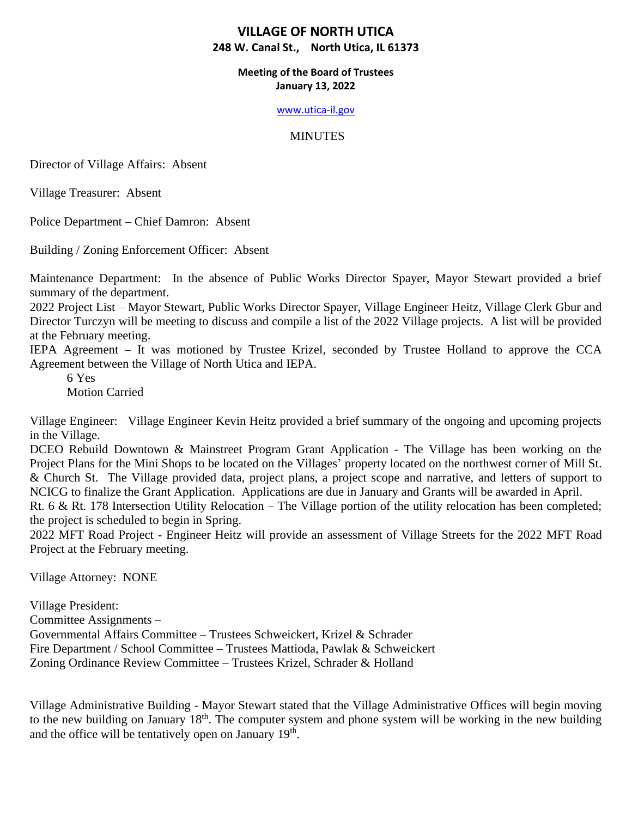### **Meeting of the Board of Trustees January 13, 2022**

#### [www.utica-il.gov](http://www.utica-il.gov/)

## **MINUTES**

Director of Village Affairs: Absent

Village Treasurer: Absent

Police Department – Chief Damron: Absent

Building / Zoning Enforcement Officer: Absent

Maintenance Department: In the absence of Public Works Director Spayer, Mayor Stewart provided a brief summary of the department.

2022 Project List – Mayor Stewart, Public Works Director Spayer, Village Engineer Heitz, Village Clerk Gbur and Director Turczyn will be meeting to discuss and compile a list of the 2022 Village projects. A list will be provided at the February meeting.

IEPA Agreement – It was motioned by Trustee Krizel, seconded by Trustee Holland to approve the CCA Agreement between the Village of North Utica and IEPA.

6 Yes Motion Carried

Village Engineer: Village Engineer Kevin Heitz provided a brief summary of the ongoing and upcoming projects in the Village.

DCEO Rebuild Downtown & Mainstreet Program Grant Application - The Village has been working on the Project Plans for the Mini Shops to be located on the Villages' property located on the northwest corner of Mill St. & Church St. The Village provided data, project plans, a project scope and narrative, and letters of support to NCICG to finalize the Grant Application. Applications are due in January and Grants will be awarded in April.

Rt. 6 & Rt. 178 Intersection Utility Relocation – The Village portion of the utility relocation has been completed; the project is scheduled to begin in Spring.

2022 MFT Road Project - Engineer Heitz will provide an assessment of Village Streets for the 2022 MFT Road Project at the February meeting.

Village Attorney: NONE

Village President: Committee Assignments – Governmental Affairs Committee – Trustees Schweickert, Krizel & Schrader Fire Department / School Committee – Trustees Mattioda, Pawlak & Schweickert Zoning Ordinance Review Committee – Trustees Krizel, Schrader & Holland

Village Administrative Building - Mayor Stewart stated that the Village Administrative Offices will begin moving to the new building on January 18<sup>th</sup>. The computer system and phone system will be working in the new building and the office will be tentatively open on January 19<sup>th</sup>.